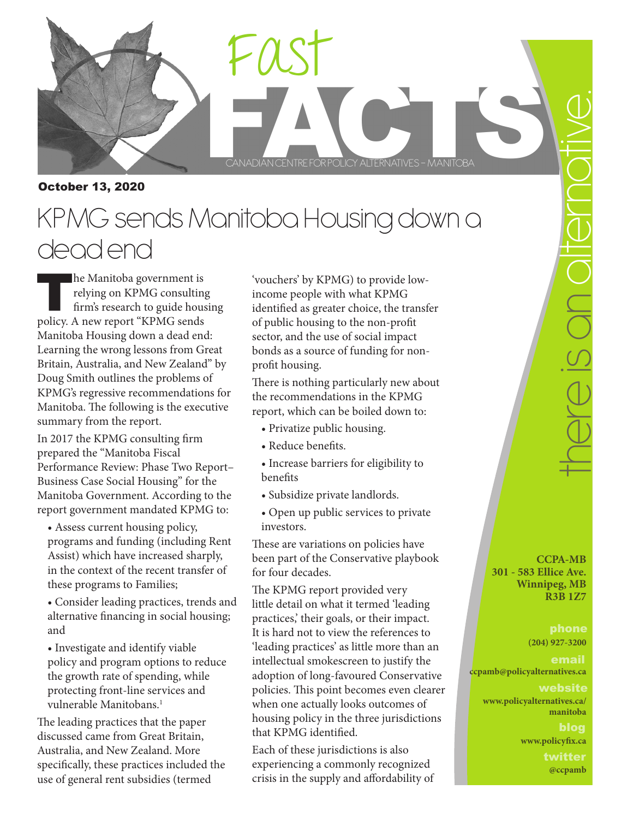

CANADIAN CENTREFORPOLICY ALTERNATIVES – MANITOBA Fast

CANADIAN CENTRE FOR POLICY ALTERNATIVES - MANITOBA

October 13, 2020

# KPMG sends Manitoba Housing down a dead end

 $\blacksquare$  he Manitoba government is relying on KPMG consulting firm's research to guide housing policy. A new report "KPMG sends Manitoba Housing down a dead end: Learning the wrong lessons from Great Britain, Australia, and New Zealand" by Doug Smith outlines the problems of KPMG's regressive recommendations for Manitoba. The following is the executive summary from the report.

In 2017 the KPMG consulting firm prepared the "Manitoba Fiscal Performance Review: Phase Two Report– Business Case Social Housing" for the Manitoba Government. According to the report government mandated KPMG to:

• Assess current housing policy, programs and funding (including Rent Assist) which have increased sharply, in the context of the recent transfer of these programs to Families;

• Consider leading practices, trends and alternative financing in social housing; and

• Investigate and identify viable policy and program options to reduce the growth rate of spending, while protecting front-line services and vulnerable Manitobans.<sup>1</sup>

The leading practices that the paper discussed came from Great Britain, Australia, and New Zealand. More specifically, these practices included the use of general rent subsidies (termed

'vouchers' by KPMG) to provide lowincome people with what KPMG identified as greater choice, the transfer of public housing to the non-profit sector, and the use of social impact bonds as a source of funding for nonprofit housing.

There is nothing particularly new about the recommendations in the KPMG report, which can be boiled down to:

- Privatize public housing.
- Reduce benefits.
- Increase barriers for eligibility to benefits
- Subsidize private landlords.
- Open up public services to private investors.

These are variations on policies have been part of the Conservative playbook for four decades.

The KPMG report provided very little detail on what it termed 'leading practices,' their goals, or their impact. It is hard not to view the references to 'leading practices' as little more than an intellectual smokescreen to justify the adoption of long-favoured Conservative policies. This point becomes even clearer when one actually looks outcomes of housing policy in the three jurisdictions that KPMG identified.

Each of these jurisdictions is also experiencing a commonly recognized crisis in the supply and affordability of CONCIDENTIC CONTROLLED TO CONTROLLED TO CONTROLLED TO CONTROLLED TO CONTROLLED TO CONTROLLED TO CONTROLLED TO CONTROLLED TO CONTROLLED TO CONTROLLED TO CONTROLLED TO CONTROLLED TO CONTROLLED TO CONTROLLED TO CONTROLLED TO preson diern

**CCPA-MB 301 - 583 Ellice Ave. Winnipeg, MB R3B 1Z7**

## **(204) 927-3200**

### **ccpamb@policyalternatives.ca**

#### website

**www.policyalternatives.ca/ manitoba**

blog **www.policyfix.ca**

> twitter **@ccpamb**